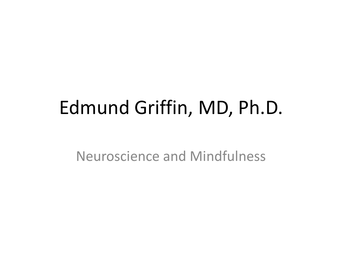# Edmund Griffin, MD, Ph.D.

Neuroscience and Mindfulness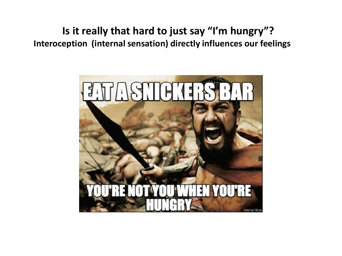**Is it really that hard to just say "I'm hungry"? Interoception (internal sensation) directly influences our feelings**

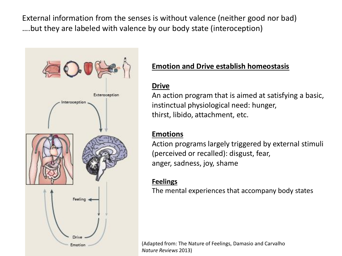External information from the senses is without valence (neither good nor bad) ….but they are labeled with valence by our body state (interoception)



### **Emotion and Drive establish homeostasis**

#### **Drive**

An action program that is aimed at satisfying a basic, instinctual physiological need: hunger, thirst, libido, attachment, etc.

#### **Emotions**

Action programs largely triggered by external stimuli (perceived or recalled): disgust, fear, anger, sadness, joy, shame

#### **Feelings**

The mental experiences that accompany body states

(Adapted from: The Nature of Feelings, Damasio and Carvalho *Nature Reviews* 2013)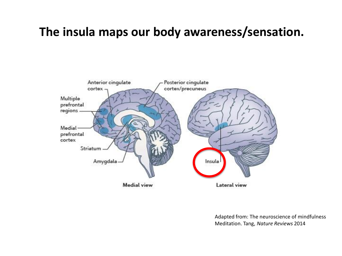## **The insula maps our body awareness/sensation.**



Adapted from: The neuroscience of mindfulness Meditation. Tang, *Nature Reviews* 2014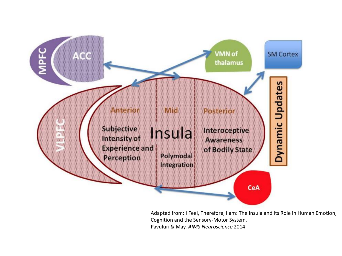

Adapted from: I Feel, Therefore, I am: The Insula and Its Role in Human Emotion, Cognition and the Sensory-Motor System. Pavuluri & May. *AIMS Neuroscience* 2014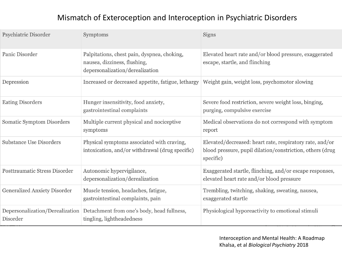#### Mismatch of Exteroception and Interoception in Psychiatric Disorders

| Psychiatric Disorder                        | Symptoms                                                                                                       | <b>Signs</b>                                                                                                                       |
|---------------------------------------------|----------------------------------------------------------------------------------------------------------------|------------------------------------------------------------------------------------------------------------------------------------|
| Panic Disorder                              | Palpitations, chest pain, dyspnea, choking,<br>nausea, dizziness, flushing,<br>depersonalization/derealization | Elevated heart rate and/or blood pressure, exaggerated<br>escape, startle, and flinching                                           |
| Depression                                  | Increased or decreased appetite, fatigue, lethargy                                                             | Weight gain, weight loss, psychomotor slowing                                                                                      |
| <b>Eating Disorders</b>                     | Hunger insensitivity, food anxiety,<br>gastrointestinal complaints                                             | Severe food restriction, severe weight loss, binging,<br>purging, compulsive exercise                                              |
| <b>Somatic Symptom Disorders</b>            | Multiple current physical and nociceptive<br>symptoms                                                          | Medical observations do not correspond with symptom<br>report                                                                      |
| <b>Substance Use Disorders</b>              | Physical symptoms associated with craving,<br>intoxication, and/or withdrawal (drug specific)                  | Elevated/decreased: heart rate, respiratory rate, and/or<br>blood pressure, pupil dilation/constriction, others (drug<br>specific) |
| <b>Posttraumatic Stress Disorder</b>        | Autonomic hypervigilance,<br>depersonalization/derealization                                                   | Exaggerated startle, flinching, and/or escape responses,<br>elevated heart rate and/or blood pressure                              |
| <b>Generalized Anxiety Disorder</b>         | Muscle tension, headaches, fatigue,<br>gastrointestinal complaints, pain                                       | Trembling, twitching, shaking, sweating, nausea,<br>exaggerated startle                                                            |
| Depersonalization/Derealization<br>Disorder | Detachment from one's body, head fullness,<br>tingling, lightheadedness                                        | Physiological hyporeactivity to emotional stimuli                                                                                  |